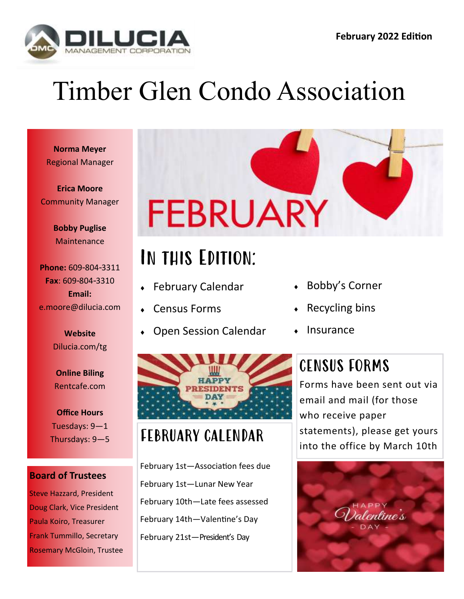

# Timber Glen Condo Association

**Norma Meyer** Regional Manager

**Erica Moore** Community Manager

> **Bobby Puglise Maintenance**

**Phone:** 609-804-3311 **Fax**: 609-804-3310 **Email:** e.moore@dilucia.com

> **Website** Dilucia.com/tg

**Online Biling** Rentcafe.com

**Office Hours** Tuesdays: 9—1 Thursdays: 9—5

#### **Board of Trustees**

Steve Hazzard, President Doug Clark, Vice President Paula Koiro, Treasurer Frank Tummillo, Secretary Rosemary McGloin, Trustee



## In this Edition:

- February Calendar
- Census Forms
- Open Session Calendar



#### FEBRUARY CALENDAR

February 1st—Association fees due February 1st—Lunar New Year February 10th—Late fees assessed February 14th—Valentine's Day February 21st—President's Day

- Bobby's Corner
- Recycling bins
- Insurance

### CENSUS FORMS

Forms have been sent out via email and mail (for those who receive paper statements), please get yours into the office by March 10th